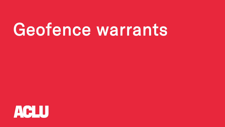# Geofence warrants

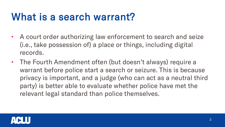# What is a search warrant?

- A court order authorizing law enforcement to search and seize (i.e., take possession of) a place or things, including digital records.
- The Fourth Amendment often (but doesn't always) require a warrant before police start a search or seizure. This is because privacy is important, and a judge (who can act as a neutral third party) is better able to evaluate whether police have met the relevant legal standard than police themselves.

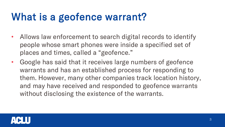# What is a geofence warrant?

- Allows law enforcement to search digital records to identify people whose smart phones were inside a specified set of places and times, called a "geofence."
- Google has said that it receives large numbers of geofence warrants and has an established process for responding to them. However, many other companies track location history, and may have received and responded to geofence warrants without disclosing the existence of the warrants.

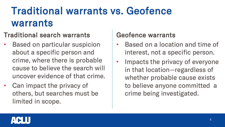# Traditional warrants vs. Geofence warrants

#### Traditional search warrants

- Based on particular suspicion about a specific person and crime, where there is probable cause to believe the search will uncover evidence of that crime.
- Can impact the privacy of others, but searches must be limited in scope.

#### Geofence warrants

- Based on a location and time of interest, not a specific person.
- Impacts the privacy of everyone in that location—regardless of whether probable cause exists to believe anyone committed a crime being investigated.

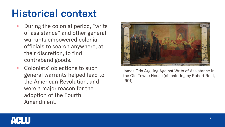### Historical context

- During the colonial period, "writs of assistance" and other general warrants empowered colonial officials to search anywhere, at their discretion, to find contraband goods.
- Colonists' objections to such general warrants helped lead to the American Revolution, and were a major reason for the adoption of the Fourth Amendment.



James Otis Arguing Against Writs of Assistance in the Old Towne House (oil painting by Robert Reid, 1901)

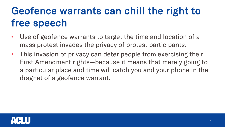# Geofence warrants can chill the right to free speech

- Use of geofence warrants to target the time and location of a mass protest invades the privacy of protest participants.
- This invasion of privacy can deter people from exercising their First Amendment rights—because it means that merely going to a particular place and time will catch you and your phone in the dragnet of a geofence warrant.

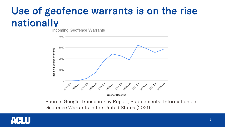# Use of geofence warrants is on the rise nationally

Incoming Geofence Warrants



Quarter Received

Source: Google Transparency Report, Supplemental Information on Geofence Warrants in the United States (2021)

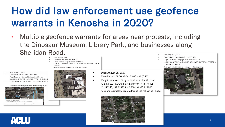## How did law enforcement use geofence warrants in Kenosha in 2020?

- Multiple geofence warrants for areas near protests, including the Dinosaur Museum, Library Park, and businesses along Sheridan Road. Date: August 24, 2020
	- Date: August 24, 2020 Time Period: 9:25 PM to 9:45 PM (CST)
	- Target Location: Geographical area identified as: 42.583837. -87.820932: 42.583017. -87.820777: 42.582916. -87.821706: 42.583713. 87 821875 Also approximately depicted using the following image:
- Time Period: 12:30 AM to 12:55 AM (CST)
- Target Location: Geographical area identified as: 42.584020. -87.823760: 42.583678. -87.823688: 42.583727. -87.823412: 42.584020. -87.823760

Also approximately depicted using the following image:



- Date: August 23, 2020
- Time Period: 8:27 PM to 9:45 PM (CST)
- Target Location: Geographical area identified as: 42.580916. -87.821792; 42.580995. -87.821710; 42.58142 42.581384. - 87.822171: 42.580901. - 87.822082: 42.58091

Also approximately depicted using the following image:



Click on the man to add to your nath. Total area: 19,755.85 ft\* (1,835.38 m\*)<br>Total distance: 564.78 ft (172.15 m)



- Date: August 25, 2020  $\bullet$
- Time Period: 01:00 AM to 03:00 AM (CST)
- Target Location: Geographical area identified as: 42.580802, -87.820086; 42.580940, -87.818942; 42.580243, -87.818733; 42.580146, -87.819945 Also approximately depicted using the following image:

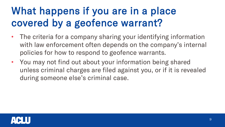# What happens if you are in a place covered by a geofence warrant?

- The criteria for a company sharing your identifying information with law enforcement often depends on the company's internal policies for how to respond to geofence warrants.
- You may not find out about your information being shared unless criminal charges are filed against you, or if it is revealed during someone else's criminal case.

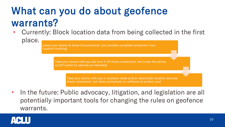# What can you do about geofence warrants?

• Currently: Block location data from being collected in the first place.

> Leave your phone at home (inconvenient, but provides complete protection from location tracking)

> > Take your phone with you but turn it off (more convenient, but trusts the phone on/off switch to operate as intended)

> > > Take your phone with you in airplane mode and/or deactivate location services (most convenient, but relies exclusively on software to protect you)

• In the future: Public advocacy, litigation, and legislation are all potentially important tools for changing the rules on geofence warrants.

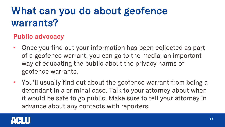# What can you do about geofence warrants?

#### Public advocacy

- Once you find out your information has been collected as part of a geofence warrant, you can go to the media, an important way of educating the public about the privacy harms of geofence warrants.
- You'll usually find out about the geofence warrant from being a defendant in a criminal case. Talk to your attorney about when it would be safe to go public. Make sure to tell your attorney in advance about any contacts with reporters.

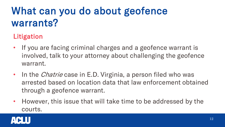# What can you do about geofence warrants?

### Litigation

- If you are facing criminal charges and a geofence warrant is involved, talk to your attorney about challenging the geofence warrant.
- In the *Chatrie* case in E.D. Virginia, a person filed who was arrested based on location data that law enforcement obtained through a geofence warrant.
- However, this issue that will take time to be addressed by the courts.

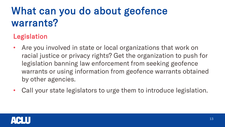# What can you do about geofence warrants?

### Legislation

- Are you involved in state or local organizations that work on racial justice or privacy rights? Get the organization to push for legislation banning law enforcement from seeking geofence warrants or using information from geofence warrants obtained by other agencies.
- Call your state legislators to urge them to introduce legislation.